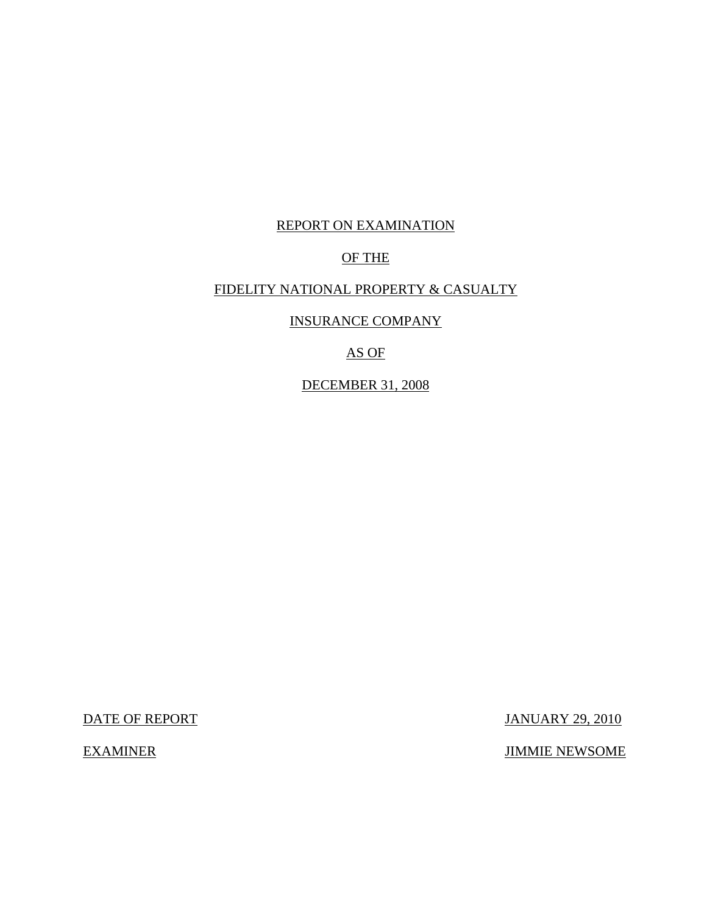# REPORT ON EXAMINATION

### OF THE

# FIDELITY NATIONAL PROPERTY & CASUALTY

INSURANCE COMPANY

AS OF

DECEMBER 31, 2008

DATE OF REPORT JANUARY 29, 2010

EXAMINER JIMMIE NEWSOME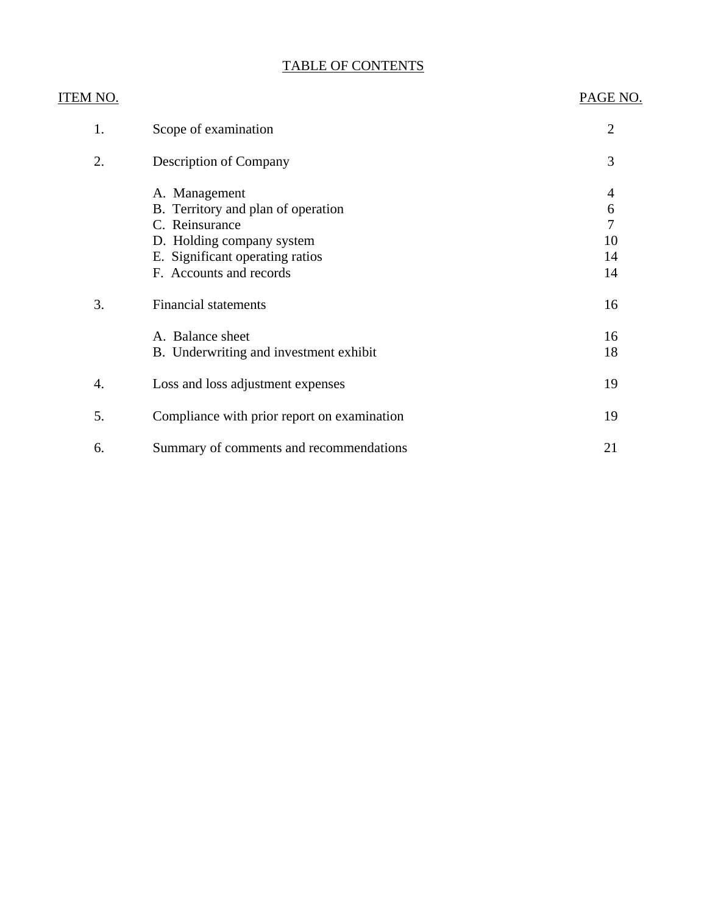# TABLE OF CONTENTS

| ITEM NO. |                                             | PAGE NO.                 |
|----------|---------------------------------------------|--------------------------|
| 1.       | Scope of examination                        | $\overline{2}$           |
| 2.       | <b>Description of Company</b>               | 3                        |
|          | A. Management                               | $\overline{\mathcal{A}}$ |
|          | B. Territory and plan of operation          | 6                        |
|          | C. Reinsurance                              | $\overline{7}$           |
|          | D. Holding company system                   | 10                       |
|          | E. Significant operating ratios             | 14                       |
|          | F. Accounts and records                     | 14                       |
| 3.       | <b>Financial statements</b>                 | 16                       |
|          | A. Balance sheet                            | 16                       |
|          | B. Underwriting and investment exhibit      | 18                       |
| 4.       | Loss and loss adjustment expenses           | 19                       |
| 5.       | Compliance with prior report on examination | 19                       |
| 6.       | Summary of comments and recommendations     | 21                       |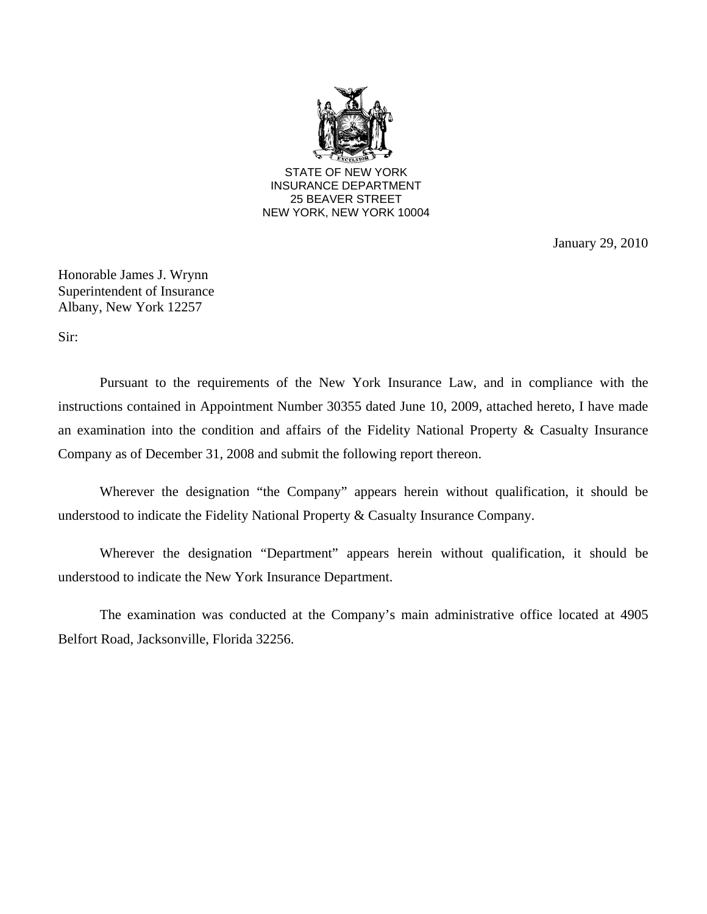

January 29, 2010

Honorable James J. Wrynn Superintendent of Insurance Albany, New York 12257

Sir:

Pursuant to the requirements of the New York Insurance Law, and in compliance with the instructions contained in Appointment Number 30355 dated June 10, 2009, attached hereto, I have made an examination into the condition and affairs of the Fidelity National Property & Casualty Insurance Company as of December 31, 2008 and submit the following report thereon.

Wherever the designation "the Company" appears herein without qualification, it should be understood to indicate the Fidelity National Property & Casualty Insurance Company.

Wherever the designation "Department" appears herein without qualification, it should be understood to indicate the New York Insurance Department.

The examination was conducted at the Company's main administrative office located at 4905 Belfort Road, Jacksonville, Florida 32256.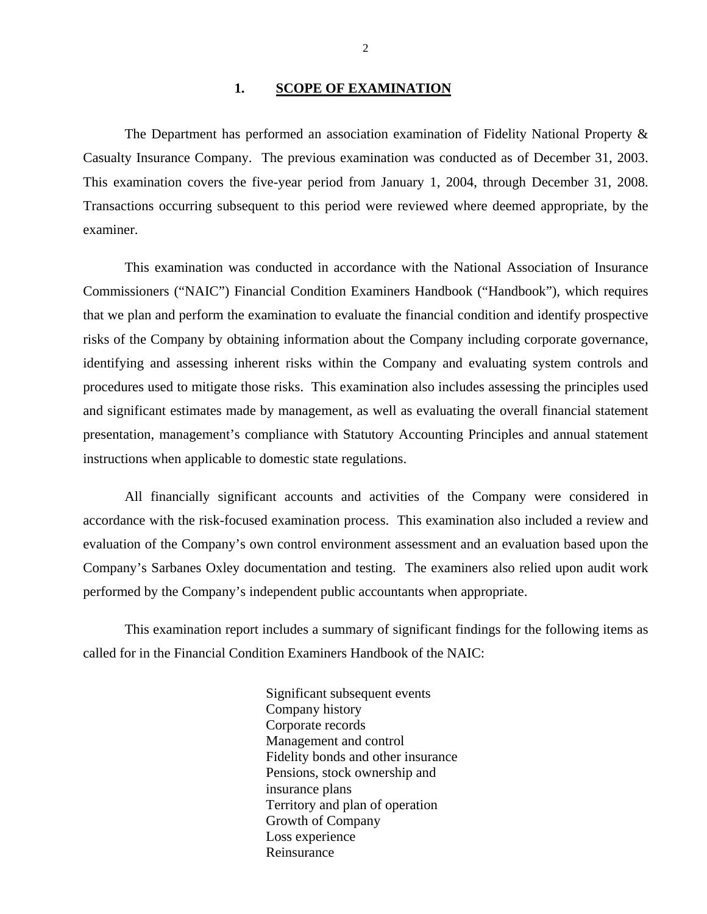#### 1. **SCOPE OF EXAMINATION**

<span id="page-3-0"></span>The Department has performed an association examination of Fidelity National Property & Casualty Insurance Company. The previous examination was conducted as of December 31, 2003. This examination covers the five-year period from January 1, 2004, through December 31, 2008. Transactions occurring subsequent to this period were reviewed where deemed appropriate, by the examiner.

This examination was conducted in accordance with the National Association of Insurance Commissioners ("NAIC") Financial Condition Examiners Handbook ("Handbook"), which requires that we plan and perform the examination to evaluate the financial condition and identify prospective risks of the Company by obtaining information about the Company including corporate governance, identifying and assessing inherent risks within the Company and evaluating system controls and procedures used to mitigate those risks. This examination also includes assessing the principles used and significant estimates made by management, as well as evaluating the overall financial statement presentation, management's compliance with Statutory Accounting Principles and annual statement instructions when applicable to domestic state regulations.

All financially significant accounts and activities of the Company were considered in accordance with the risk-focused examination process. This examination also included a review and evaluation of the Company's own control environment assessment and an evaluation based upon the Company's Sarbanes Oxley documentation and testing. The examiners also relied upon audit work performed by the Company's independent public accountants when appropriate.

This examination report includes a summary of significant findings for the following items as called for in the Financial Condition Examiners Handbook of the NAIC:

> Significant subsequent events Company history Corporate records Management and control Fidelity bonds and other insurance Pensions, stock ownership and insurance plans Territory and plan of operation Growth of Company Loss experience Reinsurance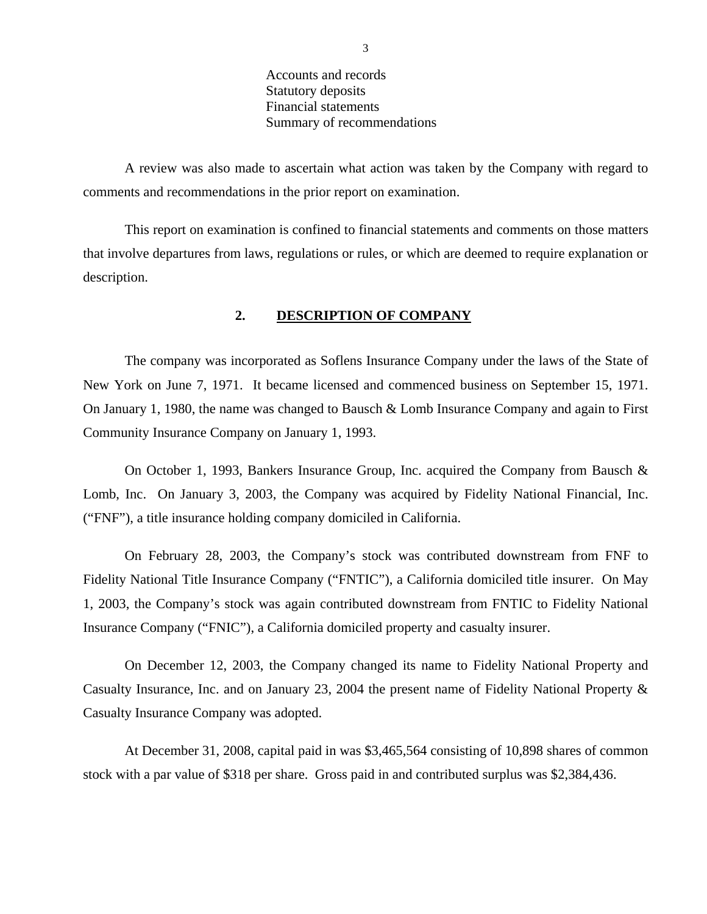Accounts and records Statutory deposits Financial statements Summary of recommendations

<span id="page-4-0"></span>A review was also made to ascertain what action was taken by the Company with regard to comments and recommendations in the prior report on examination.

This report on examination is confined to financial statements and comments on those matters that involve departures from laws, regulations or rules, or which are deemed to require explanation or description.

#### **2. DESCRIPTION OF COMPANY**

The company was incorporated as Soflens Insurance Company under the laws of the State of New York on June 7, 1971. It became licensed and commenced business on September 15, 1971. On January 1, 1980, the name was changed to Bausch & Lomb Insurance Company and again to First Community Insurance Company on January 1, 1993.

On October 1, 1993, Bankers Insurance Group, Inc. acquired the Company from Bausch & Lomb, Inc. On January 3, 2003, the Company was acquired by Fidelity National Financial, Inc. ("FNF"), a title insurance holding company domiciled in California.

On February 28, 2003, the Company's stock was contributed downstream from FNF to Fidelity National Title Insurance Company ("FNTIC"), a California domiciled title insurer. On May 1, 2003, the Company's stock was again contributed downstream from FNTIC to Fidelity National Insurance Company ("FNIC"), a California domiciled property and casualty insurer.

On December 12, 2003, the Company changed its name to Fidelity National Property and Casualty Insurance, Inc. and on January 23, 2004 the present name of Fidelity National Property & Casualty Insurance Company was adopted.

At December 31, 2008, capital paid in was \$3,465,564 consisting of 10,898 shares of common stock with a par value of \$318 per share. Gross paid in and contributed surplus was \$2,384,436.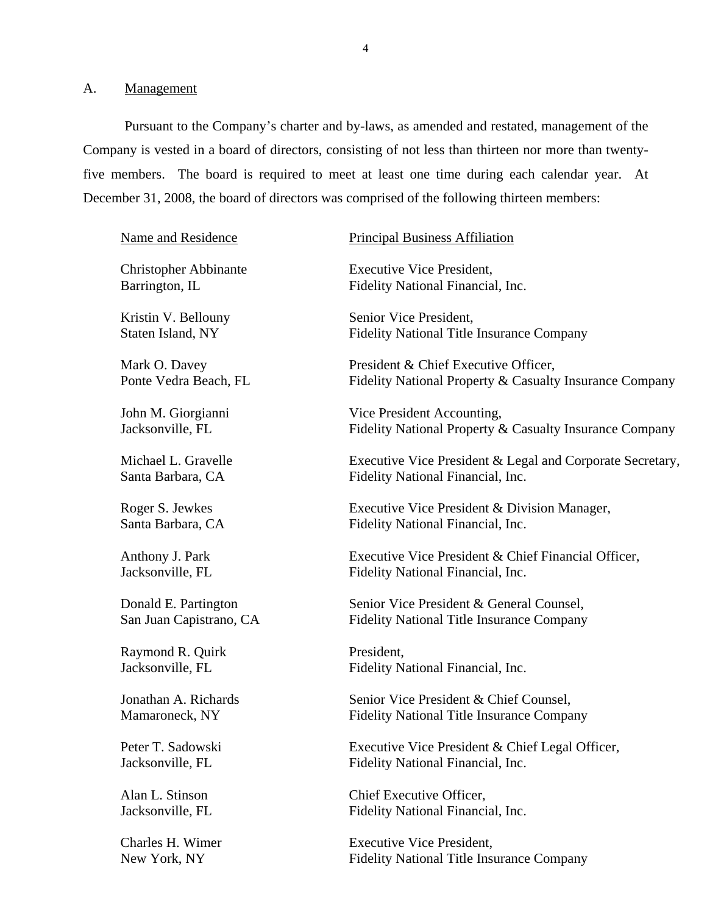<span id="page-5-0"></span>A. Management

Pursuant to the Company's charter and by-laws, as amended and restated, management of the Company is vested in a board of directors, consisting of not less than thirteen nor more than twentyfive members. The board is required to meet at least one time during each calendar year. At December 31, 2008, the board of directors was comprised of the following thirteen members:

| <b>Name and Residence</b>    | <b>Principal Business Affiliation</b>                     |
|------------------------------|-----------------------------------------------------------|
| <b>Christopher Abbinante</b> | <b>Executive Vice President,</b>                          |
| Barrington, IL               | Fidelity National Financial, Inc.                         |
| Kristin V. Bellouny          | Senior Vice President,                                    |
| Staten Island, NY            | <b>Fidelity National Title Insurance Company</b>          |
| Mark O. Davey                | President & Chief Executive Officer,                      |
| Ponte Vedra Beach, FL        | Fidelity National Property & Casualty Insurance Company   |
| John M. Giorgianni           | Vice President Accounting,                                |
| Jacksonville, FL             | Fidelity National Property & Casualty Insurance Company   |
| Michael L. Gravelle          | Executive Vice President & Legal and Corporate Secretary, |
| Santa Barbara, CA            | Fidelity National Financial, Inc.                         |
| Roger S. Jewkes              | Executive Vice President & Division Manager,              |
| Santa Barbara, CA            | Fidelity National Financial, Inc.                         |
| Anthony J. Park              | Executive Vice President & Chief Financial Officer,       |
| Jacksonville, FL             | Fidelity National Financial, Inc.                         |
| Donald E. Partington         | Senior Vice President & General Counsel,                  |
| San Juan Capistrano, CA      | <b>Fidelity National Title Insurance Company</b>          |
| Raymond R. Quirk             | President,                                                |
| Jacksonville, FL             | Fidelity National Financial, Inc.                         |
| Jonathan A. Richards         | Senior Vice President & Chief Counsel,                    |
| Mamaroneck, NY               | <b>Fidelity National Title Insurance Company</b>          |
| Peter T. Sadowski            | Executive Vice President & Chief Legal Officer,           |
| Jacksonville, FL             | Fidelity National Financial, Inc.                         |
| Alan L. Stinson              | Chief Executive Officer,                                  |
| Jacksonville, FL             | Fidelity National Financial, Inc.                         |
| Charles H. Wimer             | <b>Executive Vice President,</b>                          |
| New York, NY                 | <b>Fidelity National Title Insurance Company</b>          |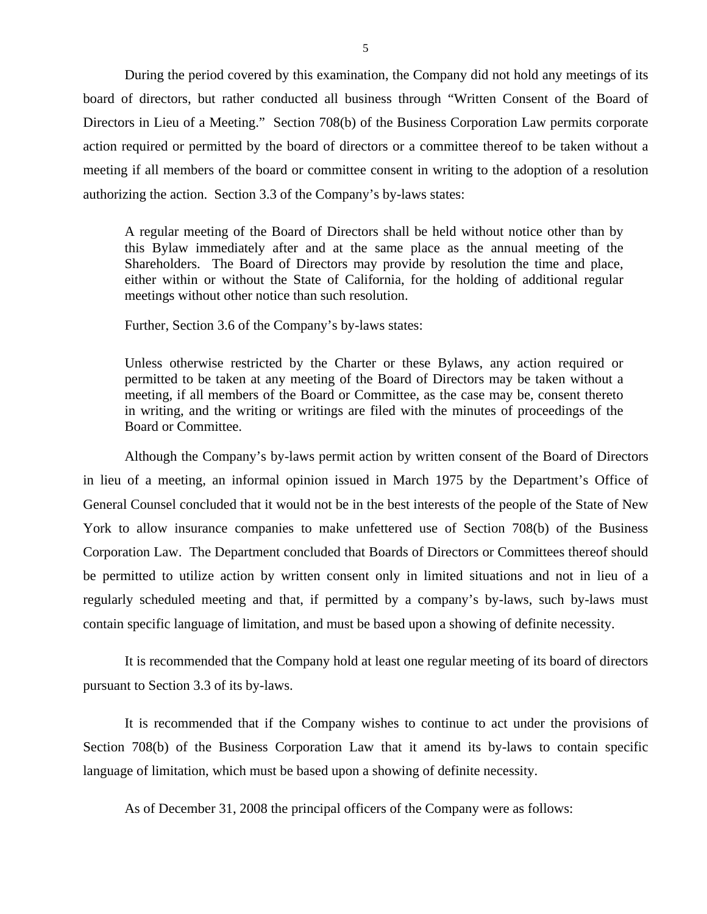During the period covered by this examination, the Company did not hold any meetings of its board of directors, but rather conducted all business through "Written Consent of the Board of Directors in Lieu of a Meeting." Section 708(b) of the Business Corporation Law permits corporate action required or permitted by the board of directors or a committee thereof to be taken without a meeting if all members of the board or committee consent in writing to the adoption of a resolution authorizing the action. Section 3.3 of the Company's by-laws states:

A regular meeting of the Board of Directors shall be held without notice other than by this Bylaw immediately after and at the same place as the annual meeting of the Shareholders. The Board of Directors may provide by resolution the time and place, either within or without the State of California, for the holding of additional regular meetings without other notice than such resolution.

Further, Section 3.6 of the Company's by-laws states:

Unless otherwise restricted by the Charter or these Bylaws, any action required or permitted to be taken at any meeting of the Board of Directors may be taken without a meeting, if all members of the Board or Committee, as the case may be, consent thereto in writing, and the writing or writings are filed with the minutes of proceedings of the Board or Committee.

Although the Company's by-laws permit action by written consent of the Board of Directors in lieu of a meeting, an informal opinion issued in March 1975 by the Department's Office of General Counsel concluded that it would not be in the best interests of the people of the State of New York to allow insurance companies to make unfettered use of Section 708(b) of the Business Corporation Law. The Department concluded that Boards of Directors or Committees thereof should be permitted to utilize action by written consent only in limited situations and not in lieu of a regularly scheduled meeting and that, if permitted by a company's by-laws, such by-laws must contain specific language of limitation, and must be based upon a showing of definite necessity.

It is recommended that the Company hold at least one regular meeting of its board of directors pursuant to Section 3.3 of its by-laws.

It is recommended that if the Company wishes to continue to act under the provisions of Section 708(b) of the Business Corporation Law that it amend its by-laws to contain specific language of limitation, which must be based upon a showing of definite necessity.

As of December 31, 2008 the principal officers of the Company were as follows: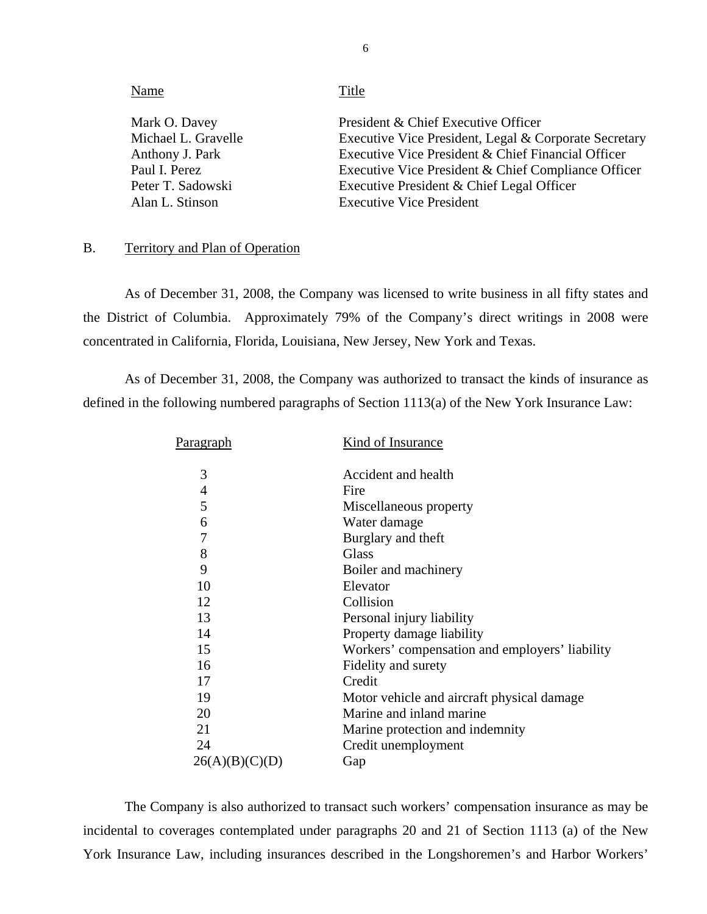<span id="page-7-0"></span>

| Name                                 | Title                                                                                        |
|--------------------------------------|----------------------------------------------------------------------------------------------|
| Mark O. Davey<br>Michael L. Gravelle | President & Chief Executive Officer<br>Executive Vice President, Legal & Corporate Secretary |
| Anthony J. Park                      | Executive Vice President & Chief Financial Officer                                           |
| Paul I. Perez                        | Executive Vice President & Chief Compliance Officer                                          |
| Peter T. Sadowski                    | Executive President & Chief Legal Officer                                                    |
| Alan L. Stinson                      | <b>Executive Vice President</b>                                                              |
|                                      |                                                                                              |

## B. Territory and Plan of Operation

As of December 31, 2008, the Company was licensed to write business in all fifty states and the District of Columbia. Approximately 79% of the Company's direct writings in 2008 were concentrated in California, Florida, Louisiana, New Jersey, New York and Texas.

As of December 31, 2008, the Company was authorized to transact the kinds of insurance as defined in the following numbered paragraphs of Section 1113(a) of the New York Insurance Law:

| Pa <u>ragraph</u> | Kind of Insurance                              |
|-------------------|------------------------------------------------|
| 3                 | Accident and health                            |
| 4                 | Fire                                           |
| 5                 | Miscellaneous property                         |
| 6                 | Water damage                                   |
| 7                 | Burglary and theft                             |
| 8                 | <b>Glass</b>                                   |
| 9                 | Boiler and machinery                           |
| 10                | Elevator                                       |
| 12                | Collision                                      |
| 13                | Personal injury liability                      |
| 14                | Property damage liability                      |
| 15                | Workers' compensation and employers' liability |
| 16                | Fidelity and surety                            |
| 17                | Credit                                         |
| 19                | Motor vehicle and aircraft physical damage     |
| 20                | Marine and inland marine                       |
| 21                | Marine protection and indemnity                |
| 24                | Credit unemployment                            |
| 26(A)(B)(C)(D)    | Gap                                            |

The Company is also authorized to transact such workers' compensation insurance as may be incidental to coverages contemplated under paragraphs 20 and 21 of Section 1113 (a) of the New York Insurance Law, including insurances described in the Longshoremen's and Harbor Workers'

6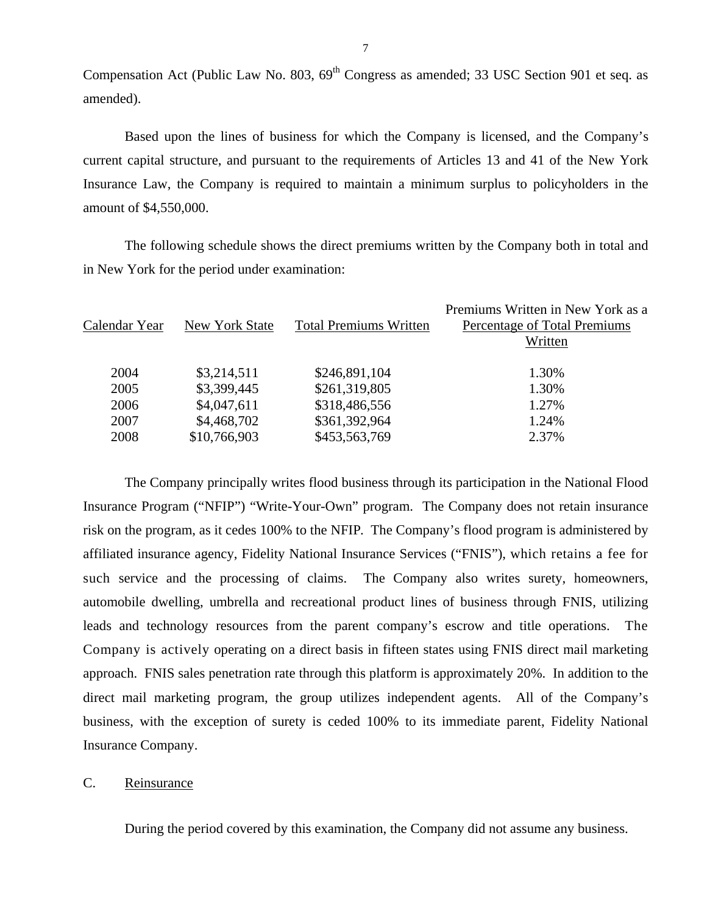Compensation Act (Public Law No. 803, 69<sup>th</sup> Congress as amended; 33 USC Section 901 et seq. as amended).

Based upon the lines of business for which the Company is licensed, and the Company's current capital structure, and pursuant to the requirements of Articles 13 and 41 of the New York Insurance Law, the Company is required to maintain a minimum surplus to policyholders in the amount of \$4,550,000.

The following schedule shows the direct premiums written by the Company both in total and in New York for the period under examination:

| Calendar Year | <b>New York State</b> | <b>Total Premiums Written</b> | Premiums Written in New York as a<br>Percentage of Total Premiums<br>Written |
|---------------|-----------------------|-------------------------------|------------------------------------------------------------------------------|
| 2004          | \$3,214,511           | \$246,891,104                 | 1.30%                                                                        |
| 2005          | \$3,399,445           | \$261,319,805                 | 1.30%                                                                        |
| 2006          | \$4,047,611           | \$318,486,556                 | 1.27%                                                                        |
| 2007          | \$4,468,702           | \$361,392,964                 | 1.24%                                                                        |
| 2008          | \$10,766,903          | \$453,563,769                 | 2.37%                                                                        |
|               |                       |                               |                                                                              |

The Company principally writes flood business through its participation in the National Flood Insurance Program ("NFIP") "Write-Your-Own" program. The Company does not retain insurance risk on the program, as it cedes 100% to the NFIP. The Company's flood program is administered by affiliated insurance agency, Fidelity National Insurance Services ("FNIS"), which retains a fee for such service and the processing of claims. The Company also writes surety, homeowners, automobile dwelling, umbrella and recreational product lines of business through FNIS, utilizing leads and technology resources from the parent company's escrow and title operations. The Company is actively operating on a direct basis in fifteen states using FNIS direct mail marketing approach. FNIS sales penetration rate through this platform is approximately 20%. In addition to the direct mail marketing program, the group utilizes independent agents. All of the Company's business, with the exception of surety is ceded 100% to its immediate parent, Fidelity National Insurance Company.

#### C. Reinsurance

During the period covered by this examination, the Company did not assume any business.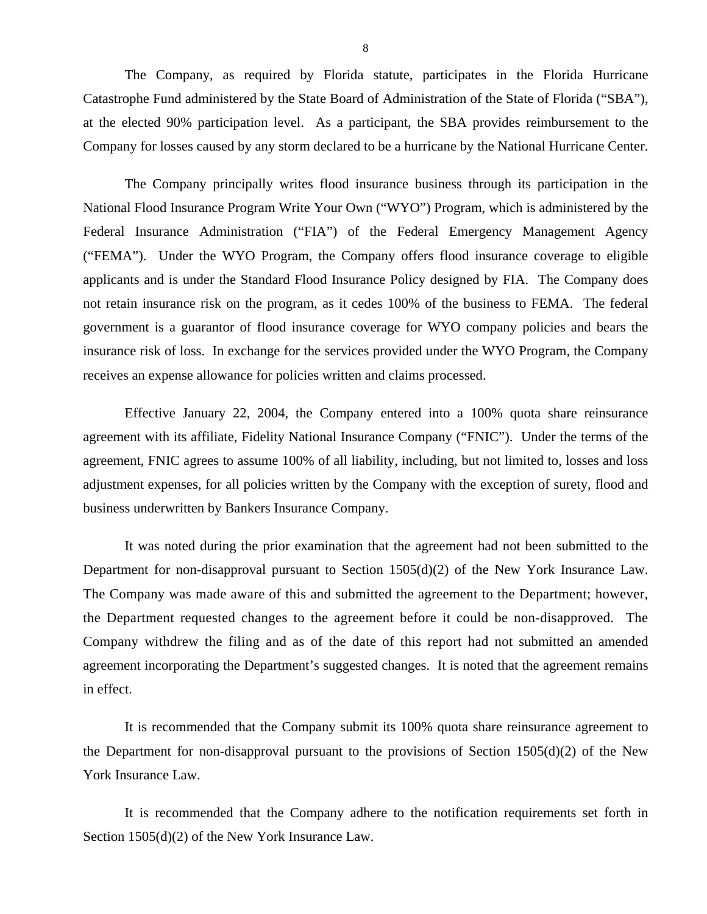The Company, as required by Florida statute, participates in the Florida Hurricane Catastrophe Fund administered by the State Board of Administration of the State of Florida ("SBA"), at the elected 90% participation level. As a participant, the SBA provides reimbursement to the Company for losses caused by any storm declared to be a hurricane by the National Hurricane Center.

The Company principally writes flood insurance business through its participation in the National Flood Insurance Program Write Your Own ("WYO") Program, which is administered by the Federal Insurance Administration ("FIA") of the Federal Emergency Management Agency ("FEMA"). Under the WYO Program, the Company offers flood insurance coverage to eligible applicants and is under the Standard Flood Insurance Policy designed by FIA. The Company does not retain insurance risk on the program, as it cedes 100% of the business to FEMA. The federal government is a guarantor of flood insurance coverage for WYO company policies and bears the insurance risk of loss. In exchange for the services provided under the WYO Program, the Company receives an expense allowance for policies written and claims processed.

Effective January 22, 2004, the Company entered into a 100% quota share reinsurance agreement with its affiliate, Fidelity National Insurance Company ("FNIC"). Under the terms of the agreement, FNIC agrees to assume 100% of all liability, including, but not limited to, losses and loss adjustment expenses, for all policies written by the Company with the exception of surety, flood and business underwritten by Bankers Insurance Company.

It was noted during the prior examination that the agreement had not been submitted to the Department for non-disapproval pursuant to Section 1505(d)(2) of the New York Insurance Law. The Company was made aware of this and submitted the agreement to the Department; however, the Department requested changes to the agreement before it could be non-disapproved. The Company withdrew the filing and as of the date of this report had not submitted an amended agreement incorporating the Department's suggested changes. It is noted that the agreement remains in effect.

It is recommended that the Company submit its 100% quota share reinsurance agreement to the Department for non-disapproval pursuant to the provisions of Section  $1505(d)(2)$  of the New York Insurance Law.

It is recommended that the Company adhere to the notification requirements set forth in Section 1505(d)(2) of the New York Insurance Law.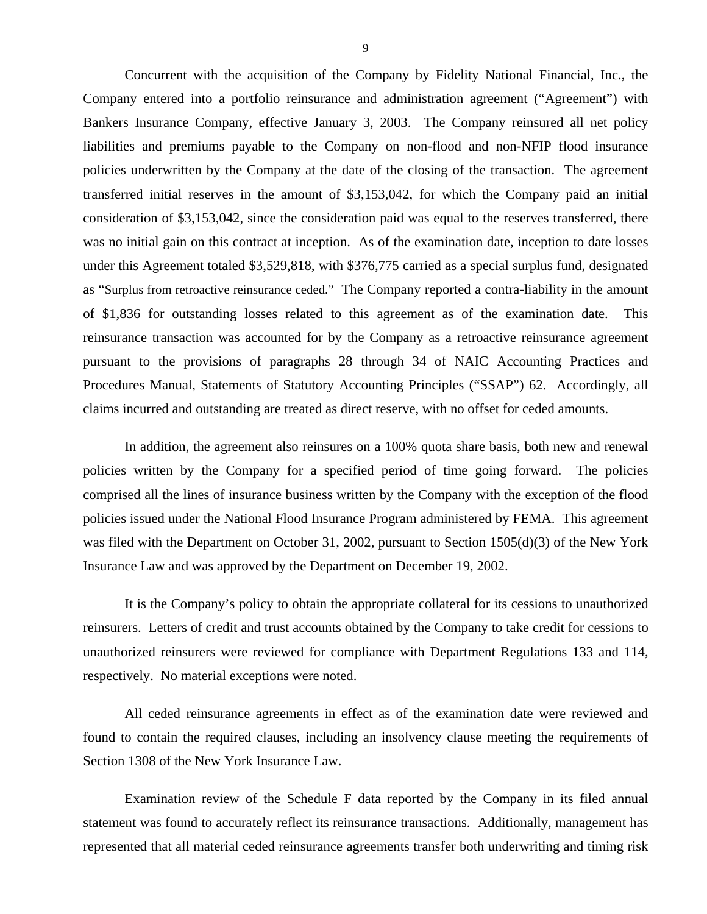Concurrent with the acquisition of the Company by Fidelity National Financial, Inc., the Company entered into a portfolio reinsurance and administration agreement ("Agreement") with Bankers Insurance Company, effective January 3, 2003. The Company reinsured all net policy liabilities and premiums payable to the Company on non-flood and non-NFIP flood insurance policies underwritten by the Company at the date of the closing of the transaction. The agreement transferred initial reserves in the amount of \$3,153,042, for which the Company paid an initial consideration of \$3,153,042, since the consideration paid was equal to the reserves transferred, there was no initial gain on this contract at inception. As of the examination date, inception to date losses under this Agreement totaled \$3,529,818, with \$376,775 carried as a special surplus fund, designated as "Surplus from retroactive reinsurance ceded." The Company reported a contra-liability in the amount of \$1,836 for outstanding losses related to this agreement as of the examination date. This reinsurance transaction was accounted for by the Company as a retroactive reinsurance agreement pursuant to the provisions of paragraphs 28 through 34 of NAIC Accounting Practices and Procedures Manual, Statements of Statutory Accounting Principles ("SSAP") 62. Accordingly, all claims incurred and outstanding are treated as direct reserve, with no offset for ceded amounts.

In addition, the agreement also reinsures on a 100% quota share basis, both new and renewal policies written by the Company for a specified period of time going forward. The policies comprised all the lines of insurance business written by the Company with the exception of the flood policies issued under the National Flood Insurance Program administered by FEMA. This agreement was filed with the Department on October 31, 2002, pursuant to Section 1505(d)(3) of the New York Insurance Law and was approved by the Department on December 19, 2002.

It is the Company's policy to obtain the appropriate collateral for its cessions to unauthorized reinsurers. Letters of credit and trust accounts obtained by the Company to take credit for cessions to unauthorized reinsurers were reviewed for compliance with Department Regulations 133 and 114, respectively. No material exceptions were noted.

All ceded reinsurance agreements in effect as of the examination date were reviewed and found to contain the required clauses, including an insolvency clause meeting the requirements of Section 1308 of the New York Insurance Law.

Examination review of the Schedule F data reported by the Company in its filed annual statement was found to accurately reflect its reinsurance transactions. Additionally, management has represented that all material ceded reinsurance agreements transfer both underwriting and timing risk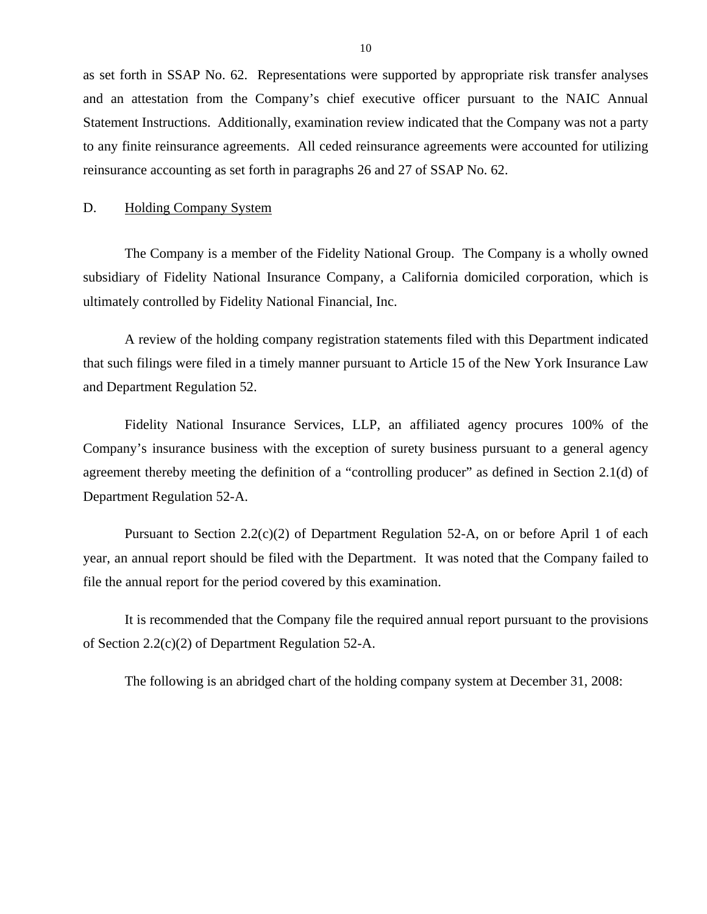<span id="page-11-0"></span>as set forth in SSAP No. 62. Representations were supported by appropriate risk transfer analyses and an attestation from the Company's chief executive officer pursuant to the NAIC Annual Statement Instructions. Additionally, examination review indicated that the Company was not a party to any finite reinsurance agreements. All ceded reinsurance agreements were accounted for utilizing reinsurance accounting as set forth in paragraphs 26 and 27 of SSAP No. 62.

#### D. Holding Company System

The Company is a member of the Fidelity National Group. The Company is a wholly owned subsidiary of Fidelity National Insurance Company, a California domiciled corporation, which is ultimately controlled by Fidelity National Financial, Inc.

A review of the holding company registration statements filed with this Department indicated that such filings were filed in a timely manner pursuant to Article 15 of the New York Insurance Law and Department Regulation 52.

Fidelity National Insurance Services, LLP, an affiliated agency procures 100% of the Company's insurance business with the exception of surety business pursuant to a general agency agreement thereby meeting the definition of a "controlling producer" as defined in Section 2.1(d) of Department Regulation 52-A.

Pursuant to Section 2.2(c)(2) of Department Regulation 52-A, on or before April 1 of each year, an annual report should be filed with the Department. It was noted that the Company failed to file the annual report for the period covered by this examination.

It is recommended that the Company file the required annual report pursuant to the provisions of Section 2.2(c)(2) of Department Regulation 52-A.

The following is an abridged chart of the holding company system at December 31, 2008: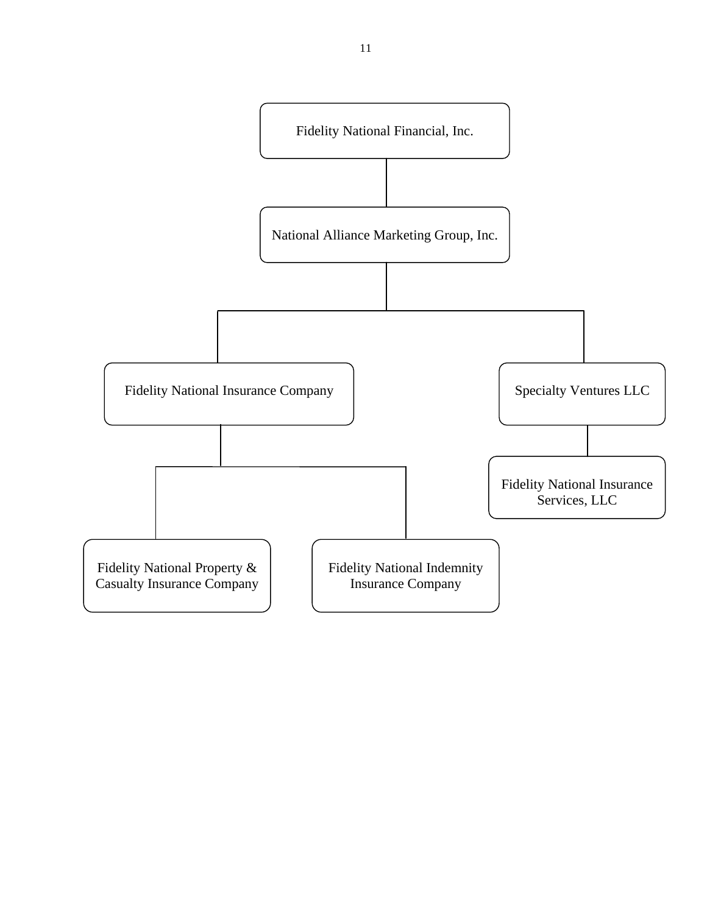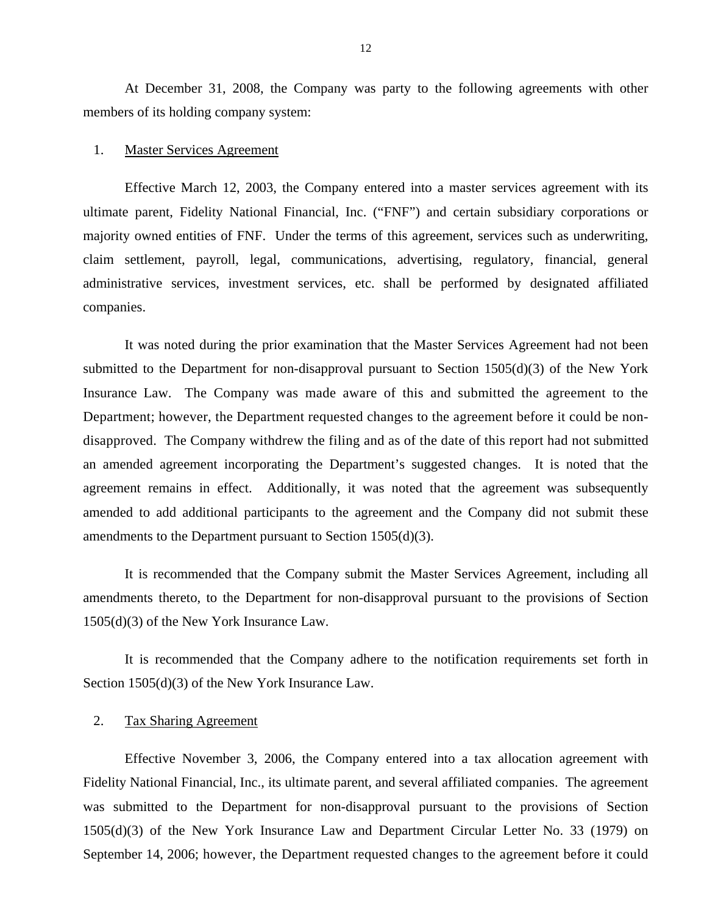At December 31, 2008, the Company was party to the following agreements with other members of its holding company system:

#### 1. Master Services Agreement

Effective March 12, 2003, the Company entered into a master services agreement with its ultimate parent, Fidelity National Financial, Inc. ("FNF") and certain subsidiary corporations or majority owned entities of FNF. Under the terms of this agreement, services such as underwriting, claim settlement, payroll, legal, communications, advertising, regulatory, financial, general administrative services, investment services, etc. shall be performed by designated affiliated companies.

It was noted during the prior examination that the Master Services Agreement had not been submitted to the Department for non-disapproval pursuant to Section  $1505(d)(3)$  of the New York Insurance Law. The Company was made aware of this and submitted the agreement to the Department; however, the Department requested changes to the agreement before it could be nondisapproved. The Company withdrew the filing and as of the date of this report had not submitted an amended agreement incorporating the Department's suggested changes. It is noted that the agreement remains in effect. Additionally, it was noted that the agreement was subsequently amended to add additional participants to the agreement and the Company did not submit these amendments to the Department pursuant to Section 1505(d)(3).

It is recommended that the Company submit the Master Services Agreement, including all amendments thereto, to the Department for non-disapproval pursuant to the provisions of Section 1505(d)(3) of the New York Insurance Law.

It is recommended that the Company adhere to the notification requirements set forth in Section 1505(d)(3) of the New York Insurance Law.

#### 2. Tax Sharing Agreement

Effective November 3, 2006, the Company entered into a tax allocation agreement with Fidelity National Financial, Inc., its ultimate parent, and several affiliated companies. The agreement was submitted to the Department for non-disapproval pursuant to the provisions of Section 1505(d)(3) of the New York Insurance Law and Department Circular Letter No. 33 (1979) on September 14, 2006; however, the Department requested changes to the agreement before it could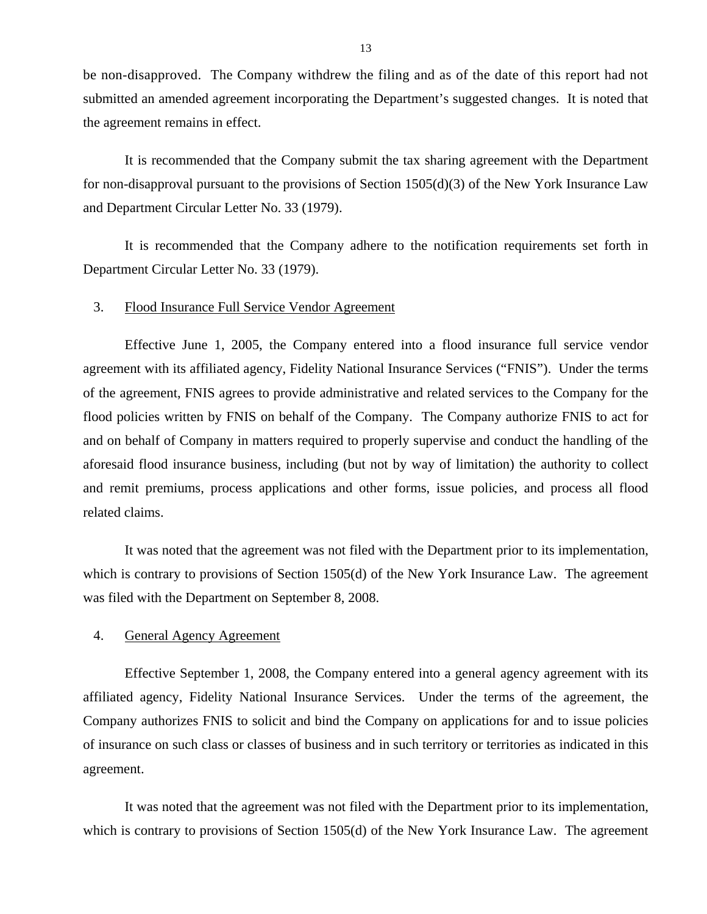be non-disapproved. The Company withdrew the filing and as of the date of this report had not submitted an amended agreement incorporating the Department's suggested changes. It is noted that the agreement remains in effect.

It is recommended that the Company submit the tax sharing agreement with the Department for non-disapproval pursuant to the provisions of Section 1505(d)(3) of the New York Insurance Law and Department Circular Letter No. 33 (1979).

It is recommended that the Company adhere to the notification requirements set forth in Department Circular Letter No. 33 (1979).

#### 3. Flood Insurance Full Service Vendor Agreement

Effective June 1, 2005, the Company entered into a flood insurance full service vendor agreement with its affiliated agency, Fidelity National Insurance Services ("FNIS"). Under the terms of the agreement, FNIS agrees to provide administrative and related services to the Company for the flood policies written by FNIS on behalf of the Company. The Company authorize FNIS to act for and on behalf of Company in matters required to properly supervise and conduct the handling of the aforesaid flood insurance business, including (but not by way of limitation) the authority to collect and remit premiums, process applications and other forms, issue policies, and process all flood related claims.

It was noted that the agreement was not filed with the Department prior to its implementation, which is contrary to provisions of Section 1505(d) of the New York Insurance Law. The agreement was filed with the Department on September 8, 2008.

### 4. General Agency Agreement

Effective September 1, 2008, the Company entered into a general agency agreement with its affiliated agency, Fidelity National Insurance Services. Under the terms of the agreement, the Company authorizes FNIS to solicit and bind the Company on applications for and to issue policies of insurance on such class or classes of business and in such territory or territories as indicated in this agreement.

It was noted that the agreement was not filed with the Department prior to its implementation, which is contrary to provisions of Section 1505(d) of the New York Insurance Law. The agreement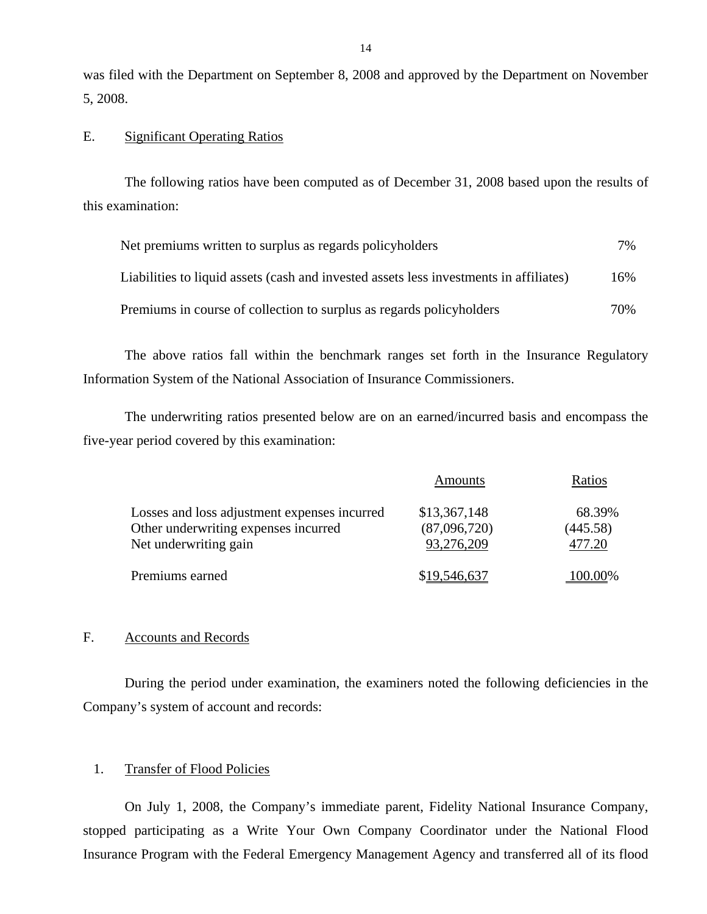was filed with the Department on September 8, 2008 and approved by the Department on November 5, 2008.

#### E. Significant Operating Ratios

The following ratios have been computed as of December 31, 2008 based upon the results of this examination:

| Net premiums written to surplus as regards policyholders                               | $7\%$ |
|----------------------------------------------------------------------------------------|-------|
| Liabilities to liquid assets (cash and invested assets less investments in affiliates) | 16%   |
| Premiums in course of collection to surplus as regards policyholders                   | 70%   |

The above ratios fall within the benchmark ranges set forth in the Insurance Regulatory Information System of the National Association of Insurance Commissioners.

The underwriting ratios presented below are on an earned/incurred basis and encompass the five-year period covered by this examination:

|                                                                                                               | Amounts                                    | Ratios                       |
|---------------------------------------------------------------------------------------------------------------|--------------------------------------------|------------------------------|
| Losses and loss adjustment expenses incurred<br>Other underwriting expenses incurred<br>Net underwriting gain | \$13,367,148<br>(87,096,720)<br>93,276,209 | 68.39%<br>(445.58)<br>477.20 |
| Premiums earned                                                                                               | \$19,546,637                               | 100.00%                      |

#### F. Accounts and Records

During the period under examination, the examiners noted the following deficiencies in the Company's system of account and records:

#### 1. Transfer of Flood Policies

On July 1, 2008, the Company's immediate parent, Fidelity National Insurance Company, stopped participating as a Write Your Own Company Coordinator under the National Flood Insurance Program with the Federal Emergency Management Agency and transferred all of its flood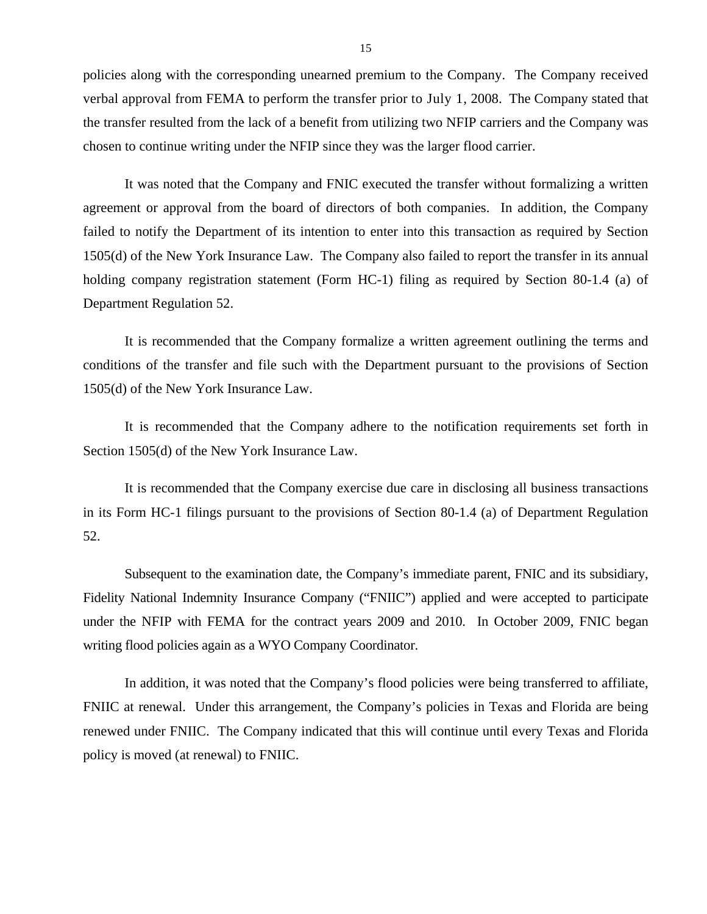policies along with the corresponding unearned premium to the Company. The Company received verbal approval from FEMA to perform the transfer prior to July 1, 2008. The Company stated that the transfer resulted from the lack of a benefit from utilizing two NFIP carriers and the Company was chosen to continue writing under the NFIP since they was the larger flood carrier.

It was noted that the Company and FNIC executed the transfer without formalizing a written agreement or approval from the board of directors of both companies. In addition, the Company failed to notify the Department of its intention to enter into this transaction as required by Section 1505(d) of the New York Insurance Law. The Company also failed to report the transfer in its annual holding company registration statement (Form HC-1) filing as required by Section 80-1.4 (a) of Department Regulation 52.

It is recommended that the Company formalize a written agreement outlining the terms and conditions of the transfer and file such with the Department pursuant to the provisions of Section 1505(d) of the New York Insurance Law.

It is recommended that the Company adhere to the notification requirements set forth in Section 1505(d) of the New York Insurance Law.

It is recommended that the Company exercise due care in disclosing all business transactions in its Form HC-1 filings pursuant to the provisions of Section 80-1.4 (a) of Department Regulation 52.

Subsequent to the examination date, the Company's immediate parent, FNIC and its subsidiary, Fidelity National Indemnity Insurance Company ("FNIIC") applied and were accepted to participate under the NFIP with FEMA for the contract years 2009 and 2010. In October 2009, FNIC began writing flood policies again as a WYO Company Coordinator.

In addition, it was noted that the Company's flood policies were being transferred to affiliate, FNIIC at renewal. Under this arrangement, the Company's policies in Texas and Florida are being renewed under FNIIC. The Company indicated that this will continue until every Texas and Florida policy is moved (at renewal) to FNIIC.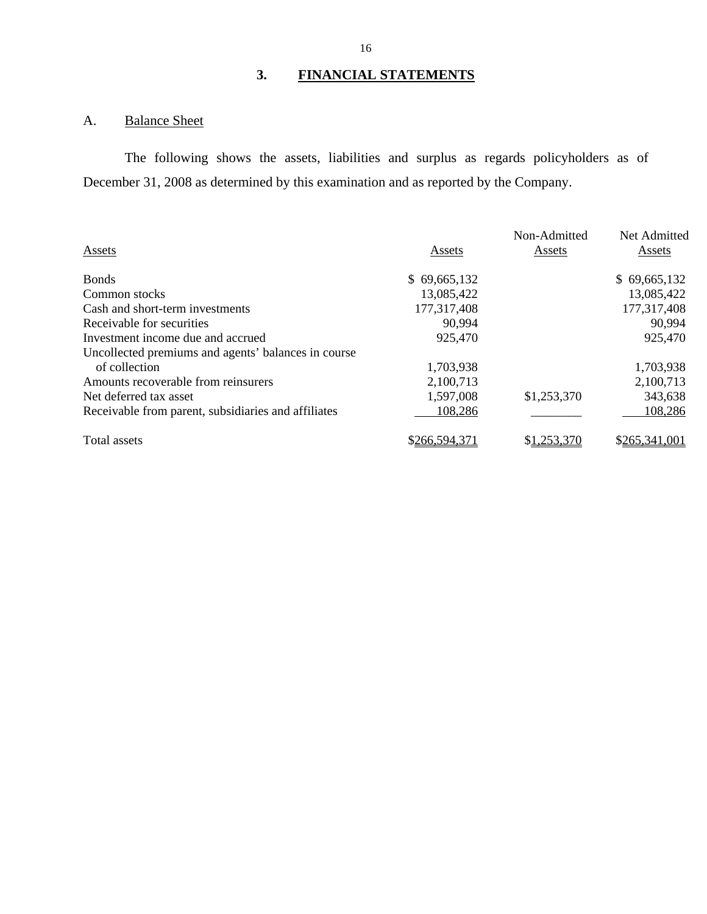# **3. FINANCIAL STATEMENTS**

# <span id="page-17-0"></span>A. Balance Sheet

The following shows the assets, liabilities and surplus as regards policyholders as of December 31, 2008 as determined by this examination and as reported by the Company.

|                                                     |               | Non-Admitted | Net Admitted  |
|-----------------------------------------------------|---------------|--------------|---------------|
| Assets                                              | Assets        | Assets       | Assets        |
| <b>Bonds</b>                                        | \$69,665,132  |              | \$69,665,132  |
| Common stocks                                       | 13,085,422    |              | 13,085,422    |
| Cash and short-term investments                     | 177,317,408   |              | 177,317,408   |
| Receivable for securities                           | 90,994        |              | 90,994        |
| Investment income due and accrued                   | 925,470       |              | 925,470       |
| Uncollected premiums and agents' balances in course |               |              |               |
| of collection                                       | 1,703,938     |              | 1,703,938     |
| Amounts recoverable from reinsurers                 | 2,100,713     |              | 2,100,713     |
| Net deferred tax asset                              | 1,597,008     | \$1,253,370  | 343,638       |
| Receivable from parent, subsidiaries and affiliates | 108,286       |              | 108,286       |
| Total assets                                        | \$266,594,371 | \$1,253,370  | \$265,341,001 |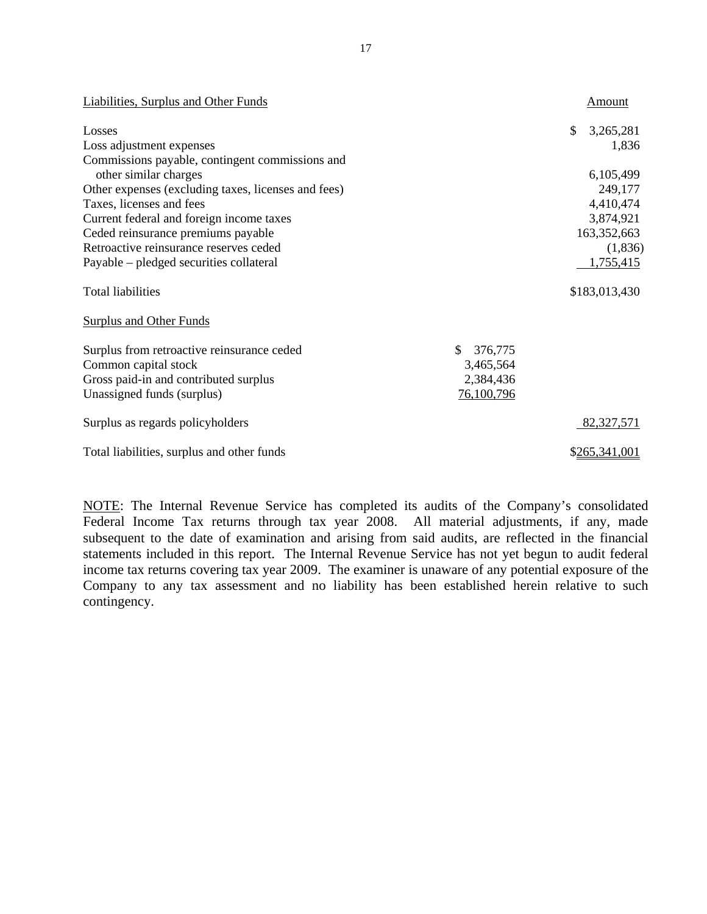| <b>Liabilities, Surplus and Other Funds</b>         |               | Amount          |
|-----------------------------------------------------|---------------|-----------------|
| Losses                                              |               | \$<br>3,265,281 |
| Loss adjustment expenses                            |               | 1,836           |
| Commissions payable, contingent commissions and     |               |                 |
| other similar charges                               |               | 6,105,499       |
| Other expenses (excluding taxes, licenses and fees) |               | 249,177         |
| Taxes, licenses and fees                            |               | 4,410,474       |
| Current federal and foreign income taxes            |               | 3,874,921       |
| Ceded reinsurance premiums payable                  |               | 163,352,663     |
| Retroactive reinsurance reserves ceded              |               | (1,836)         |
| Payable – pledged securities collateral             |               | 1,755,415       |
| <b>Total liabilities</b>                            |               | \$183,013,430   |
| <b>Surplus and Other Funds</b>                      |               |                 |
| Surplus from retroactive reinsurance ceded          | \$<br>376,775 |                 |
| Common capital stock                                | 3,465,564     |                 |
| Gross paid-in and contributed surplus               | 2,384,436     |                 |
| Unassigned funds (surplus)                          | 76,100,796    |                 |
| Surplus as regards policyholders                    |               | 82,327,571      |
| Total liabilities, surplus and other funds          |               | \$265,341,001   |

NOTE: The Internal Revenue Service has completed its audits of the Company's consolidated Federal Income Tax returns through tax year 2008. All material adjustments, if any, made subsequent to the date of examination and arising from said audits, are reflected in the financial statements included in this report. The Internal Revenue Service has not yet begun to audit federal income tax returns covering tax year 2009. The examiner is unaware of any potential exposure of the Company to any tax assessment and no liability has been established herein relative to such contingency.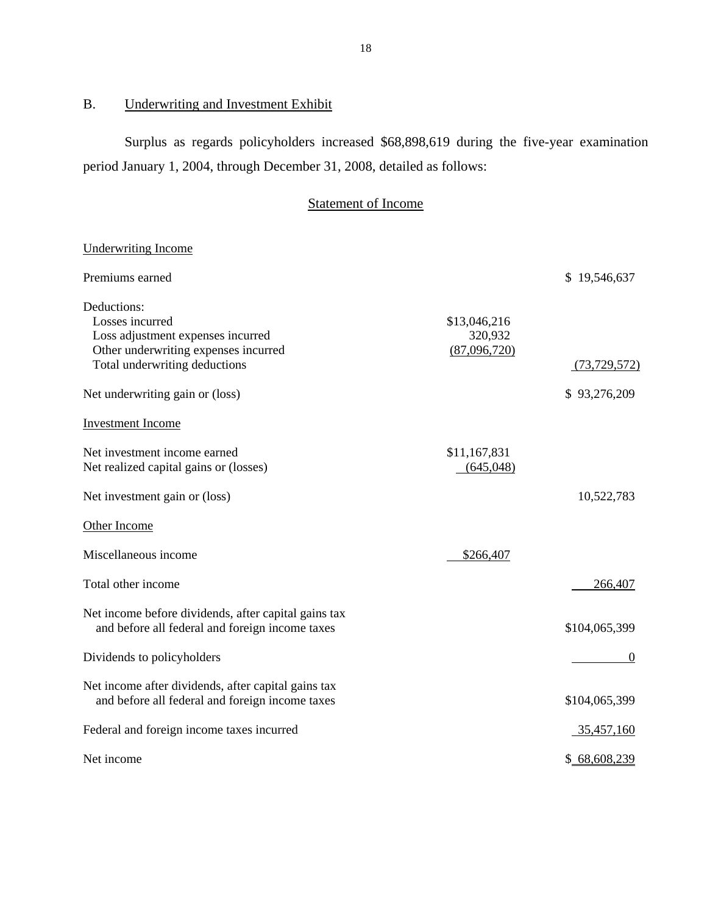# B. Underwriting and Investment Exhibit

Surplus as regards policyholders increased \$68,898,619 during the five-year examination period January 1, 2004, through December 31, 2008, detailed as follows:

# Statement of Income

| <b>Underwriting Income</b>                                                                                                                                                      |                                         |                                |
|---------------------------------------------------------------------------------------------------------------------------------------------------------------------------------|-----------------------------------------|--------------------------------|
| Premiums earned                                                                                                                                                                 |                                         | \$19,546,637                   |
| Deductions:<br>Losses incurred<br>Loss adjustment expenses incurred<br>Other underwriting expenses incurred<br>Total underwriting deductions<br>Net underwriting gain or (loss) | \$13,046,216<br>320,932<br>(87,096,720) | (73, 729, 572)<br>\$93,276,209 |
| <b>Investment Income</b>                                                                                                                                                        |                                         |                                |
| Net investment income earned<br>Net realized capital gains or (losses)                                                                                                          | \$11,167,831<br>(645,048)               |                                |
| Net investment gain or (loss)                                                                                                                                                   |                                         | 10,522,783                     |
| Other Income                                                                                                                                                                    |                                         |                                |
| Miscellaneous income                                                                                                                                                            | \$266,407                               |                                |
| Total other income                                                                                                                                                              |                                         | 266,407                        |
| Net income before dividends, after capital gains tax<br>and before all federal and foreign income taxes                                                                         |                                         | \$104,065,399                  |
| Dividends to policyholders                                                                                                                                                      |                                         | $\boldsymbol{0}$               |
| Net income after dividends, after capital gains tax<br>and before all federal and foreign income taxes                                                                          |                                         | \$104,065,399                  |
| Federal and foreign income taxes incurred                                                                                                                                       |                                         | <u>35,457,160</u>              |
| Net income                                                                                                                                                                      |                                         | \$68,608,239                   |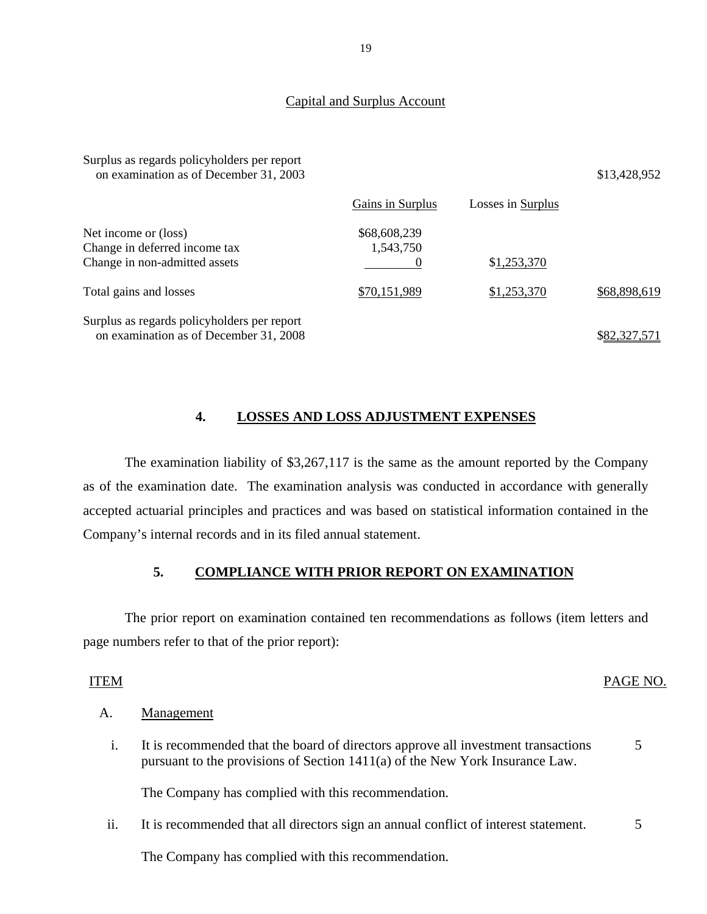#### Capital and Surplus Account

| Surplus as regards policyholders per report<br>on examination as of December 31, 2003  |                           |                   | \$13,428,952 |
|----------------------------------------------------------------------------------------|---------------------------|-------------------|--------------|
|                                                                                        | Gains in Surplus          | Losses in Surplus |              |
| Net income or (loss)<br>Change in deferred income tax<br>Change in non-admitted assets | \$68,608,239<br>1,543,750 | \$1,253,370       |              |
| Total gains and losses                                                                 | \$70,151,989              | \$1,253,370       | \$68,898,619 |
| Surplus as regards policyholders per report<br>on examination as of December 31, 2008  |                           |                   | \$82.327.571 |

### **4. LOSSES AND LOSS ADJUSTMENT EXPENSES**

The examination liability of \$3,267,117 is the same as the amount reported by the Company as of the examination date. The examination analysis was conducted in accordance with generally accepted actuarial principles and practices and was based on statistical information contained in the Company's internal records and in its filed annual statement.

## **5. COMPLIANCE WITH PRIOR REPORT ON EXAMINATION**

The prior report on examination contained ten recommendations as follows (item letters and page numbers refer to that of the prior report):

#### ITEM PAGE NO.

#### A. Management

 i. It is recommended that the board of directors approve all investment transactions 5 pursuant to the provisions of Section 1411(a) of the New York Insurance Law.

The Company has complied with this recommendation.

ii. It is recommended that all directors sign an annual conflict of interest statement. 5

The Company has complied with this recommendation.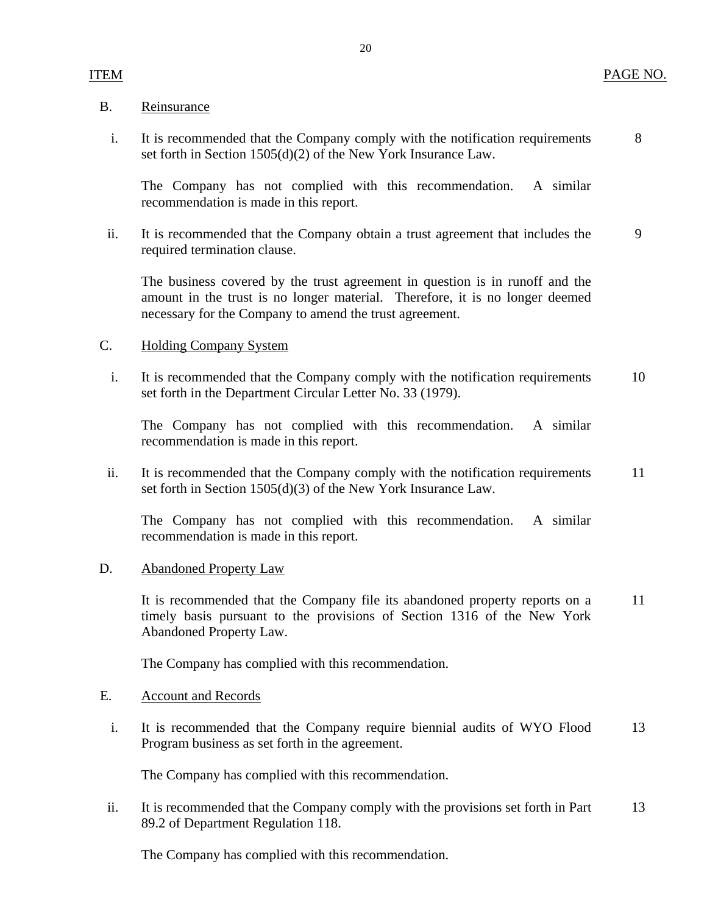#### PAGE NO.

#### B. Reinsurance

ITEM

 i. It is recommended that the Company comply with the notification requirements set forth in Section 1505(d)(2) of the New York Insurance Law. 8

The Company has not complied with this recommendation. A similar recommendation is made in this report.

ii. It is recommended that the Company obtain a trust agreement that includes the required termination clause. 9

The business covered by the trust agreement in question is in runoff and the amount in the trust is no longer material. Therefore, it is no longer deemed necessary for the Company to amend the trust agreement.

#### C. Holding Company System

 i. It is recommended that the Company comply with the notification requirements set forth in the Department Circular Letter No. 33 (1979). 10

The Company has not complied with this recommendation. A similar recommendation is made in this report.

ii. It is recommended that the Company comply with the notification requirements set forth in Section 1505(d)(3) of the New York Insurance Law. 11

The Company has not complied with this recommendation. A similar recommendation is made in this report.

#### D. Abandoned Property Law

It is recommended that the Company file its abandoned property reports on a timely basis pursuant to the provisions of Section 1316 of the New York Abandoned Property Law. 11

The Company has complied with this recommendation.

#### E. Account and Records

 i. It is recommended that the Company require biennial audits of WYO Flood Program business as set forth in the agreement. 13

The Company has complied with this recommendation.

ii. It is recommended that the Company comply with the provisions set forth in Part 89.2 of Department Regulation 118. 13

The Company has complied with this recommendation.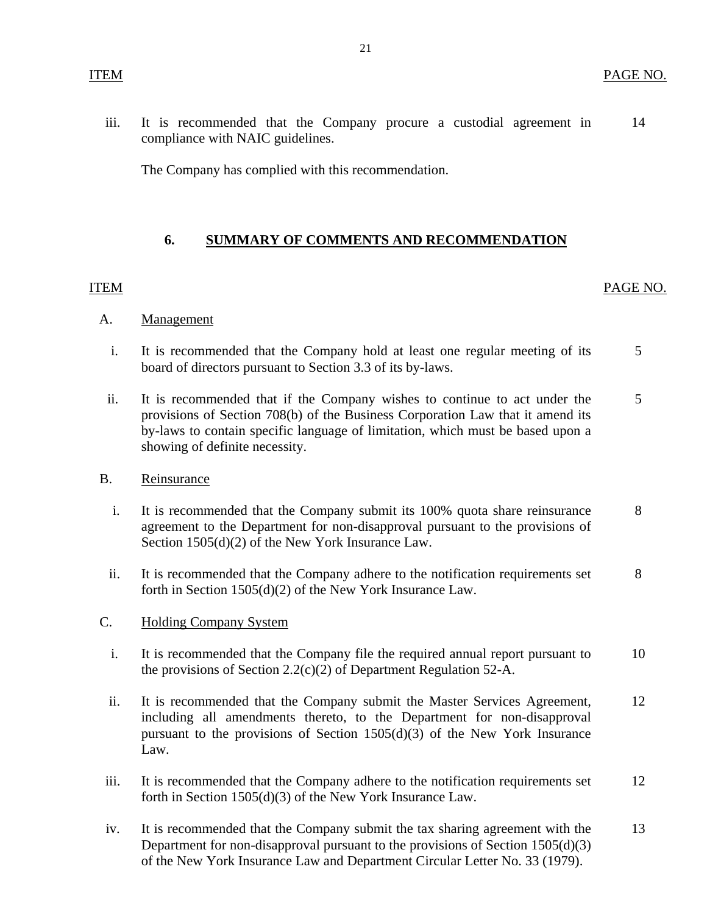<span id="page-22-0"></span>iii. It is recommended that the Company procure a custodial agreement in 14 compliance with NAIC guidelines.

The Company has complied with this recommendation.

## **6. SUMMARY OF COMMENTS AND RECOMMENDATION**

#### ITEM PAGE NO.

- A. Management
	- i. It is recommended that the Company hold at least one regular meeting of its 5 board of directors pursuant to Section 3.3 of its by-laws.
	- ii. It is recommended that if the Company wishes to continue to act under the 5 provisions of Section 708(b) of the Business Corporation Law that it amend its by-laws to contain specific language of limitation, which must be based upon a showing of definite necessity.
- B. Reinsurance
	- i. It is recommended that the Company submit its 100% quota share reinsurance 8 agreement to the Department for non-disapproval pursuant to the provisions of Section 1505(d)(2) of the New York Insurance Law.
	- ii. It is recommended that the Company adhere to the notification requirements set 8 forth in Section 1505(d)(2) of the New York Insurance Law.
- C. Holding Company System
	- i. It is recommended that the Company file the required annual report pursuant to 10 the provisions of Section 2.2(c)(2) of Department Regulation 52-A.
	- ii. It is recommended that the Company submit the Master Services Agreement, 12 including all amendments thereto, to the Department for non-disapproval pursuant to the provisions of Section 1505(d)(3) of the New York Insurance Law.
- iii. It is recommended that the Company adhere to the notification requirements set 12 forth in Section 1505(d)(3) of the New York Insurance Law.
- iv. It is recommended that the Company submit the tax sharing agreement with the Department for non-disapproval pursuant to the provisions of Section 1505(d)(3) of the New York Insurance Law and Department Circular Letter No. 33 (1979). 13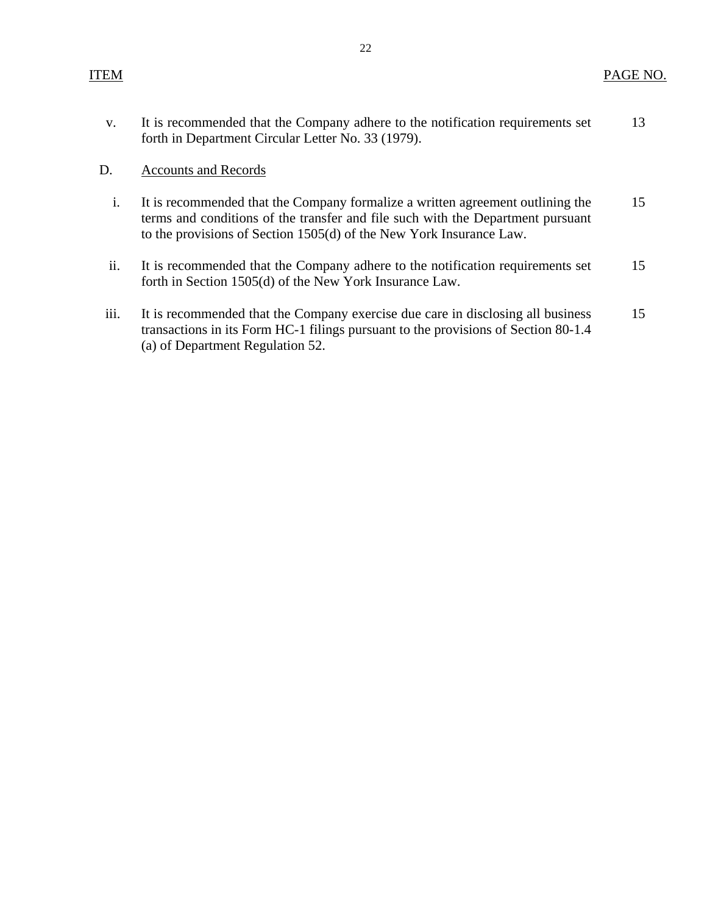| It is recommended that the Company adhere to the notification requirements set | 13 |
|--------------------------------------------------------------------------------|----|
| forth in Department Circular Letter No. 33 (1979).                             |    |

#### D. Accounts and Records

- i. It is recommended that the Company formalize a written agreement outlining the 15 terms and conditions of the transfer and file such with the Department pursuant to the provisions of Section 1505(d) of the New York Insurance Law.
- ii. It is recommended that the Company adhere to the notification requirements set 15 forth in Section 1505(d) of the New York Insurance Law.
- iii. It is recommended that the Company exercise due care in disclosing all business 15 transactions in its Form HC-1 filings pursuant to the provisions of Section 80-1.4 (a) of Department Regulation 52.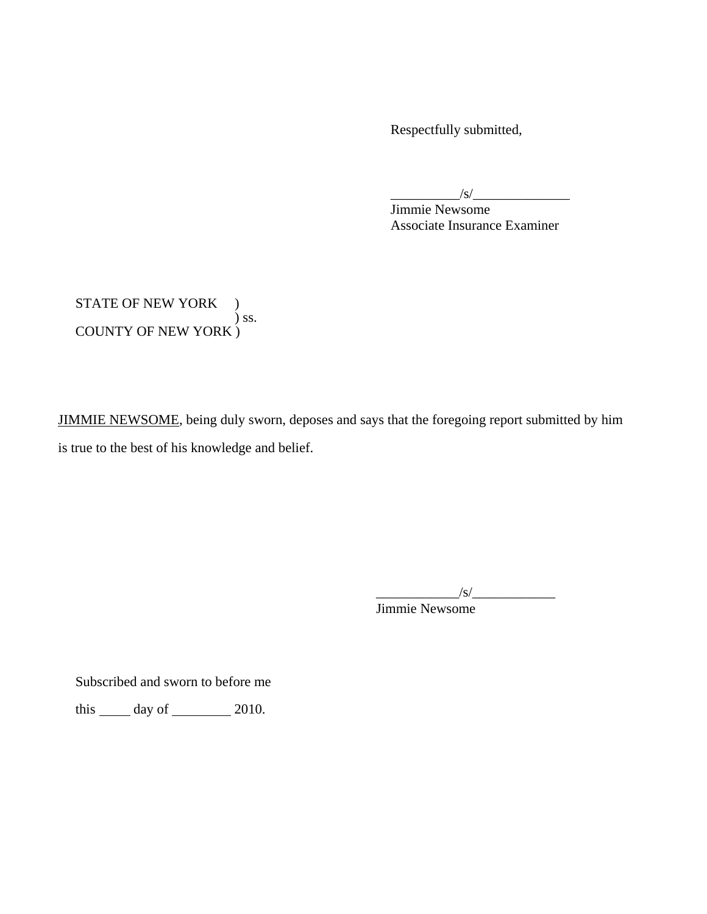Respectfully submitted,

 $\frac{1}{s}$ 

Jimmie Newsome Associate Insurance Examiner

STATE OF NEW YORK )  $\int$  ss. COUNTY OF NEW YORK )

JIMMIE NEWSOME, being duly sworn, deposes and says that the foregoing report submitted by him is true to the best of his knowledge and belief.

 $\frac{1}{s}$ Jimmie Newsome

Subscribed and sworn to before me

this  $\_\_\_\$  day of  $\_\_\_\_\_$  2010.